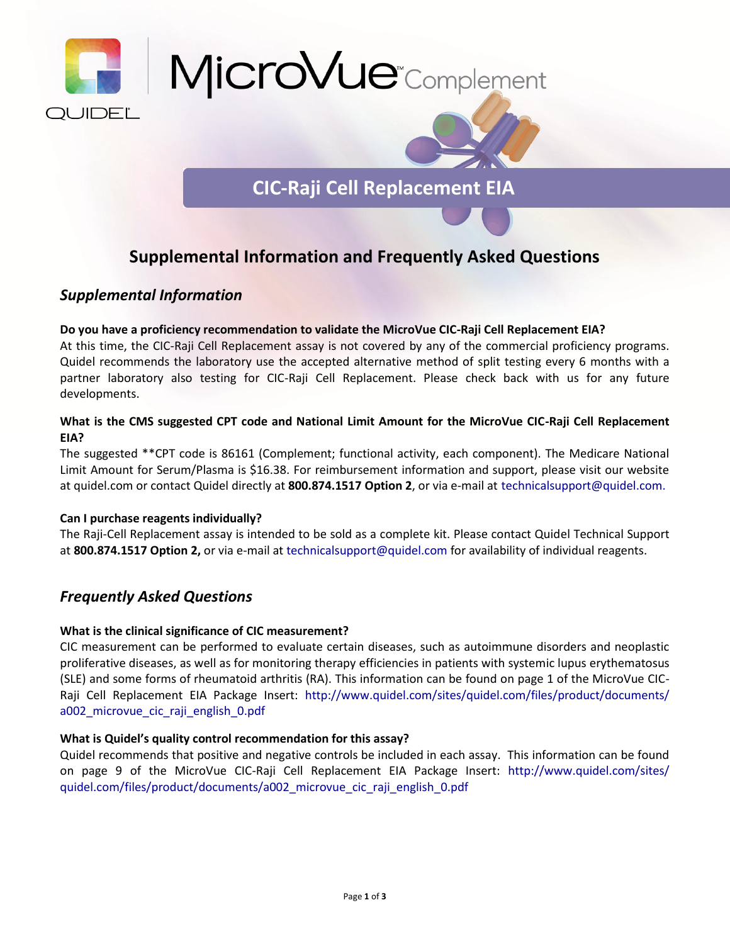

# MicroVue<sup>"</sup>Complement

# **CIC-Raji Cell Replacement EIA**

## **Supplemental Information and Frequently Asked Questions**

### *Supplemental Information*

#### **Do you have a proficiency recommendation to validate the MicroVue CIC-Raji Cell Replacement EIA?**

At this time, the CIC-Raji Cell Replacement assay is not covered by any of the commercial proficiency programs. Quidel recommends the laboratory use the accepted alternative method of split testing every 6 months with a partner laboratory also testing for CIC-Raji Cell Replacement. Please check back with us for any future developments.

#### **What is the CMS suggested CPT code and National Limit Amount for the MicroVue CIC-Raji Cell Replacement EIA?**

The suggested \*\*CPT code is 86161 (Complement; functional activity, each component). The Medicare National Limit Amount for Serum/Plasma is \$16.38. For reimbursement information and support, please visit our website at quidel.com or contact Quidel directly at **800.874.1517 Option 2**, or via e‐mail at [technicalsupport@quidel.com.](mailto:technicalsupport@quidel.com)

#### **Can I purchase reagents individually?**

The Raji-Cell Replacement assay is intended to be sold as a complete kit. Please contact Quidel Technical Support at 800.874.1517 Option 2, or via e-mail at [technicalsupport@quidel.com](mailto:technicalsupport@quidel.com) for availability of individual reagents.

## *Frequently Asked Questions*

#### **What is the clinical significance of CIC measurement?**

CIC measurement can be performed to evaluate certain diseases, such as autoimmune disorders and neoplastic proliferative diseases, as well as for monitoring therapy efficiencies in patients with systemic lupus erythematosus (SLE) and some forms of rheumatoid arthritis (RA). This information can be found on page 1 of the MicroVue CIC-Raji Cell Replacement EIA Package Insert: [http://www.quidel.com/sites/quidel.com/files/product/documents/](http://www.quidel.com/sites/quidel.com/files/product/documents/%20a002_microvue_cic_raji_english_0.pdf)  a002 microvue cic raji english 0.pdf

#### **What is Quidel's quality control recommendation for this assay?**

Quidel recommends that positive and negative controls be included in each assay. This information can be found on page 9 of the MicroVue CIC-Raji Cell Replacement EIA Package Insert: [http://www.quidel.com/sites/](http://www.quidel.com/sites/%20quidel.com/files/product/documents/a002_microvue_cic_raji_english_0.pdf)  [quidel.com/files/product/documents/a002\\_microvue\\_cic\\_raji\\_english\\_0.pdf](http://www.quidel.com/sites/%20quidel.com/files/product/documents/a002_microvue_cic_raji_english_0.pdf)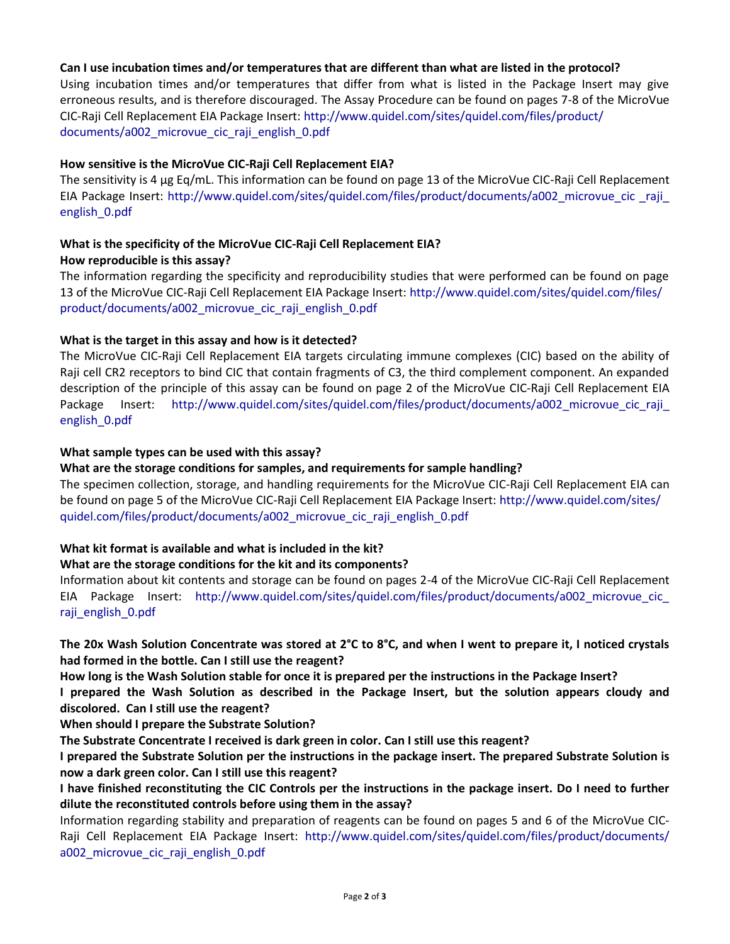#### **Can I use incubation times and/or temperatures that are different than what are listed in the protocol?**

Using incubation times and/or temperatures that differ from what is listed in the Package Insert may give erroneous results, and is therefore discouraged. The Assay Procedure can be found on pages 7-8 of the MicroVue CIC-Raji Cell Replacement EIA Package Insert: [http://www.quidel.com/sites/quidel.com/files/product/](http://www.quidel.com/sites/quidel.com/files/product/%20documents/a002_microvue_cic_raji_english_0.pdf)  [documents/a002\\_microvue\\_cic\\_raji\\_english\\_0.pdf](http://www.quidel.com/sites/quidel.com/files/product/%20documents/a002_microvue_cic_raji_english_0.pdf)

#### **How sensitive is the MicroVue CIC-Raji Cell Replacement EIA?**

The sensitivity is 4 μg Eq/mL. This information can be found on page 13 of the MicroVue CIC-Raji Cell Replacement EIA Package Insert: [http://www.quidel.com/sites/quidel.com/files/product/documents/a002\\_microvue\\_cic \\_raji\\_](http://www.quidel.com/sites/quidel.com/files/product/documents/a002_microvue_cic%20_raji_%20english_0.pdf)  [english\\_0.pdf](http://www.quidel.com/sites/quidel.com/files/product/documents/a002_microvue_cic%20_raji_%20english_0.pdf)

#### **What is the specificity of the MicroVue CIC-Raji Cell Replacement EIA? How reproducible is this assay?**

The information regarding the specificity and reproducibility studies that were performed can be found on page 13 of the MicroVue CIC-Raji Cell Replacement EIA Package Insert: [http://www.quidel.com/sites/quidel.com/files/](http://www.quidel.com/sites/quidel.com/files/%20product/documents/a002_microvue_cic_raji_english_0.pdf)  [product/documents/a002\\_microvue\\_cic\\_raji\\_english\\_0.pdf](http://www.quidel.com/sites/quidel.com/files/%20product/documents/a002_microvue_cic_raji_english_0.pdf)

#### **What is the target in this assay and how is it detected?**

The MicroVue CIC-Raji Cell Replacement EIA targets circulating immune complexes (CIC) based on the ability of Raji cell CR2 receptors to bind CIC that contain fragments of C3, the third complement component. An expanded description of the principle of this assay can be found on page 2 of the MicroVue CIC-Raji Cell Replacement EIA Package Insert: http://www.quidel.com/sites/quidel.com/files/product/documents/a002\_microvue\_cic\_raji [english\\_0.pdf](http://www.quidel.com/sites/quidel.com/files/product/documents/a002_microvue_cic_raji_%20english_0.pdf)

#### **What sample types can be used with this assay?**

#### **What are the storage conditions for samples, and requirements for sample handling?**

The specimen collection, storage, and handling requirements for the MicroVue CIC-Raji Cell Replacement EIA can be found on page 5 of the MicroVue CIC-Raji Cell Replacement EIA Package Insert: [http://www.quidel.com/sites/](http://www.quidel.com/sites/%20quidel.com/files/product/documents/a002_microvue_cic_raji_english_0.pdf)  quidel.com/files/product/documents/a002 microvue cic raji english 0.pdf

#### **What kit format is available and what is included in the kit?**

#### **What are the storage conditions for the kit and its components?**

Information about kit contents and storage can be found on pages 2-4 of the MicroVue CIC-Raji Cell Replacement EIA Package Insert: [http://www.quidel.com/sites/quidel.com/files/product/documents/a002\\_microvue\\_cic\\_](http://www.quidel.com/sites/quidel.com/files/product/documents/a002_microvue_cic_%20raji_english_0.pdf)  [raji\\_english\\_0.pdf](http://www.quidel.com/sites/quidel.com/files/product/documents/a002_microvue_cic_%20raji_english_0.pdf)

#### **The 20x Wash Solution Concentrate was stored at 2°C to 8°C, and when I went to prepare it, I noticed crystals had formed in the bottle. Can I still use the reagent?**

**How long is the Wash Solution stable for once it is prepared per the instructions in the Package Insert?**

**I prepared the Wash Solution as described in the Package Insert, but the solution appears cloudy and discolored. Can I still use the reagent?**

**When should I prepare the Substrate Solution?**

**The Substrate Concentrate I received is dark green in color. Can I still use this reagent?**

**I prepared the Substrate Solution per the instructions in the package insert. The prepared Substrate Solution is now a dark green color. Can I still use this reagent?**

**I have finished reconstituting the CIC Controls per the instructions in the package insert. Do I need to further dilute the reconstituted controls before using them in the assay?**

Information regarding stability and preparation of reagents can be found on pages 5 and 6 of the MicroVue CIC-Raji Cell Replacement EIA Package Insert: [http://www.quidel.com/sites/quidel.com/files/product/documents/](http://www.quidel.com/sites/quidel.com/files/product/documents/%20a002_microvue_cic_raji_english_0.pdf)  a002 microvue cic raji english 0.pdf